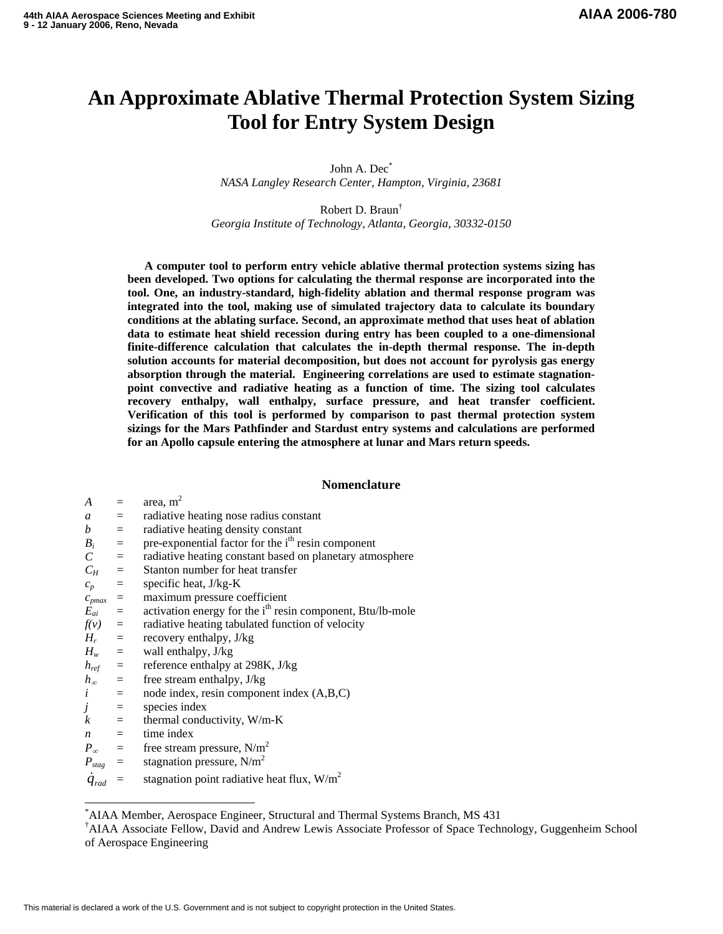# **An Approximate Ablative Thermal Protection System Sizing Tool for Entry System Design**

John A. Dec<sup>[\\*](#page-0-0)</sup> *NASA Langley Research Center, Hampton, Virginia, 23681*

Robert D. Brau[n†](#page-0-1) *Georgia Institute of Technology, Atlanta, Georgia, 30332-0150*

**A computer tool to perform entry vehicle ablative thermal protection systems sizing has been developed. Two options for calculating the thermal response are incorporated into the tool. One, an industry-standard, high-fidelity ablation and thermal response program was integrated into the tool, making use of simulated trajectory data to calculate its boundary conditions at the ablating surface. Second, an approximate method that uses heat of ablation data to estimate heat shield recession during entry has been coupled to a one-dimensional finite-difference calculation that calculates the in-depth thermal response. The in-depth solution accounts for material decomposition, but does not account for pyrolysis gas energy absorption through the material. Engineering correlations are used to estimate stagnationpoint convective and radiative heating as a function of time. The sizing tool calculates recovery enthalpy, wall enthalpy, surface pressure, and heat transfer coefficient. Verification of this tool is performed by comparison to past thermal protection system sizings for the Mars Pathfinder and Stardust entry systems and calculations are performed for an Apollo capsule entering the atmosphere at lunar and Mars return speeds.** 

#### **Nomenclature**

| A                 | $\equiv$ | area, $m2$                                                                        |
|-------------------|----------|-----------------------------------------------------------------------------------|
| $a =$             |          | radiative heating nose radius constant                                            |
| $b =$             |          | radiative heating density constant                                                |
| $B_i$ =           |          | pre-exponential factor for the i <sup>th</sup> resin component                    |
| $C =$             |          | radiative heating constant based on planetary atmosphere                          |
|                   |          | $C_H$ = Stanton number for heat transfer                                          |
|                   |          | $c_p$ = specific heat, J/kg-K                                                     |
|                   |          | $c_{pmax}$ = maximum pressure coefficient                                         |
|                   |          | $E_{ai}$ = activation energy for the i <sup>th</sup> resin component, Btu/lb-mole |
| $f(v) =$          |          | radiative heating tabulated function of velocity                                  |
|                   |          | $H_r$ = recovery enthalpy, J/kg                                                   |
|                   |          | $H_w$ = wall enthalpy, J/kg                                                       |
|                   |          | $h_{ref}$ = reference enthalpy at 298K, J/kg                                      |
| $h_{\infty}$ =    |          | free stream enthalpy, J/kg                                                        |
| $i =$             |          | node index, resin component index (A,B,C)                                         |
| $j =$             |          | species index                                                                     |
| $k =$             |          | thermal conductivity, W/m-K                                                       |
| $n =$             |          | time index                                                                        |
|                   |          | $P_{\infty}$ = free stream pressure, N/m <sup>2</sup>                             |
| $P_{stag}$ =      |          | stagnation pressure, $N/m2$                                                       |
| $\dot{q}_{rad}$ = |          | stagnation point radiative heat flux, $W/m^2$                                     |

<span id="page-0-0"></span> <sup>\*</sup> AIAA Member, Aerospace Engineer, Structural and Thermal Systems Branch, MS 431

<span id="page-0-1"></span><sup>†</sup> AIAA Associate Fellow, David and Andrew Lewis Associate Professor of Space Technology, Guggenheim School of Aerospace Engineering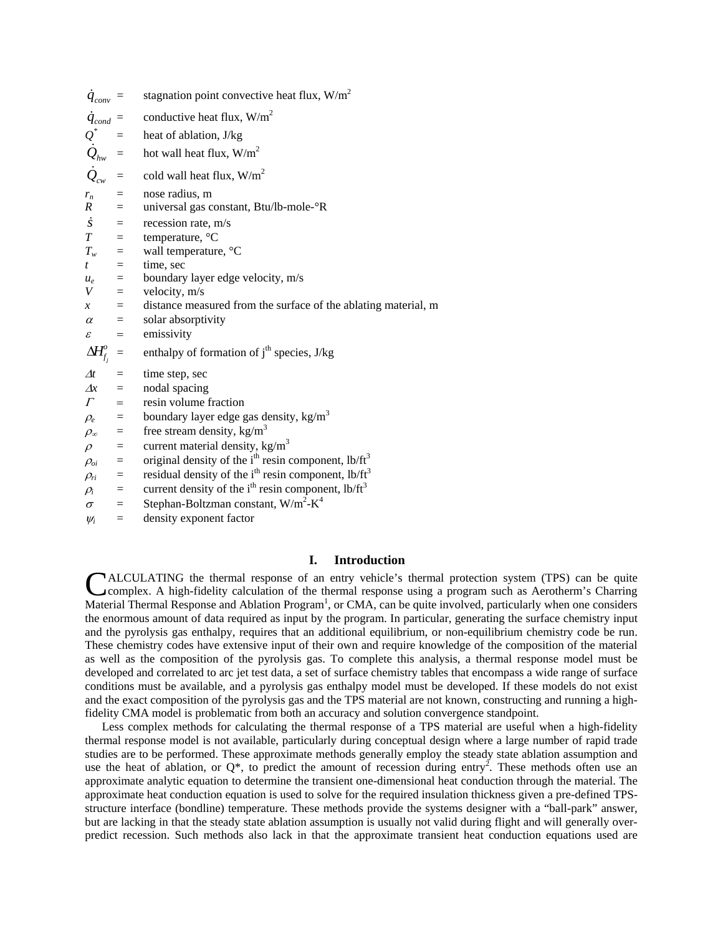| $q_{conv}$ =                   | stagnation point convective heat flux, $W/m^2$                                                                                                                  |
|--------------------------------|-----------------------------------------------------------------------------------------------------------------------------------------------------------------|
|                                | conductive heat flux, $W/m^2$                                                                                                                                   |
|                                | heat of ablation, J/kg                                                                                                                                          |
|                                | hot wall heat flux, $W/m^2$                                                                                                                                     |
|                                | cold wall heat flux, $W/m^2$                                                                                                                                    |
| $r_n =$                        | nose radius, m                                                                                                                                                  |
|                                | universal gas constant, Btu/lb-mole-°R                                                                                                                          |
|                                | recession rate, m/s                                                                                                                                             |
| $T =$                          | temperature, °C                                                                                                                                                 |
|                                | wall temperature, °C                                                                                                                                            |
| $=$                            | time, sec                                                                                                                                                       |
| $\alpha = \alpha$              | boundary layer edge velocity, m/s                                                                                                                               |
|                                | velocity, m/s                                                                                                                                                   |
| $x =$                          | distance measured from the surface of the ablating material, m                                                                                                  |
| $\alpha =$                     | solar absorptivity                                                                                                                                              |
| $=$                            | emissivity                                                                                                                                                      |
| $\Delta \! H^o_{\!f_i}$<br>$=$ | enthalpy of formation of j <sup>th</sup> species, J/kg                                                                                                          |
| $=$                            | time step, sec                                                                                                                                                  |
| $\Delta x$<br>$\quad \  \  =$  | nodal spacing                                                                                                                                                   |
| $\overline{\phantom{a}}$ =     | resin volume fraction                                                                                                                                           |
|                                | boundary layer edge gas density, kg/m <sup>3</sup>                                                                                                              |
| $=$                            | free stream density, $kg/m3$                                                                                                                                    |
| $\equiv$                       | current material density, $\text{kg/m}^3$                                                                                                                       |
|                                | original density of the i <sup>th</sup> resin component, lb/ft <sup>3</sup>                                                                                     |
| $\equiv$                       | residual density of the i <sup>th</sup> resin component, lb/ft <sup>3</sup>                                                                                     |
| $=$                            | current density of the $ith$ resin component, lb/ft <sup>3</sup>                                                                                                |
| $=$                            | Stephan-Boltzman constant, $W/m^2-K^4$                                                                                                                          |
| $=$                            | density exponent factor                                                                                                                                         |
|                                | $\dot{q}_{\textit{cond}}$ =<br>$Q^* =$<br>$\dot{Q}_{hw} =$<br>$\dot{Q}_{cw}$ =<br>$R =$<br>$\dot{s}$ =<br>$T_w$ =<br>$\bar{a}$ =<br>$\rho_e$ =<br>$\rho_{oi}$ = |

## **I. Introduction**

ALCULATING the thermal response of an entry vehicle's thermal protection system (TPS) can be quite complex. A high-fidelity calculation of the thermal response using a program such as Aerotherm's Charring CALCULATING the thermal response of an entry vehicle's thermal protection system (TPS) can be quite complex. A high-fidelity calculation of the thermal response using a program such as Aerotherm's Charring Material Thermal the enormous amount of data required as input by the program. In particular, generating the surface chemistry input and the pyrolysis gas enthalpy, requires that an additional equilibrium, or non-equilibrium chemistry code be run. These chemistry codes have extensive input of their own and require knowledge of the composition of the material as well as the composition of the pyrolysis gas. To complete this analysis, a thermal response model must be developed and correlated to arc jet test data, a set of surface chemistry tables that encompass a wide range of surface conditions must be available, and a pyrolysis gas enthalpy model must be developed. If these models do not exist and the exact composition of the pyrolysis gas and the TPS material are not known, constructing and running a highfidelity CMA model is problematic from both an accuracy and solution convergence standpoint.

Less complex methods for calculating the thermal response of a TPS material are useful when a high-fidelity thermal response model is not available, particularly during conceptual design where a large number of rapid trade studies are to be performed. These approximate methods generally employ the steady state ablation assumption and use the heat of ablation, or  $Q^*$ , to predict the amount of recession during entry<sup>2</sup>. These methods often use an approximate analytic equation to determine the transient one-dimensional heat conduction through the material. The approximate heat conduction equation is used to solve for the required insulation thickness given a pre-defined TPSstructure interface (bondline) temperature. These methods provide the systems designer with a "ball-park" answer, but are lacking in that the steady state ablation assumption is usually not valid during flight and will generally overpredict recession. Such methods also lack in that the approximate transient heat conduction equations used are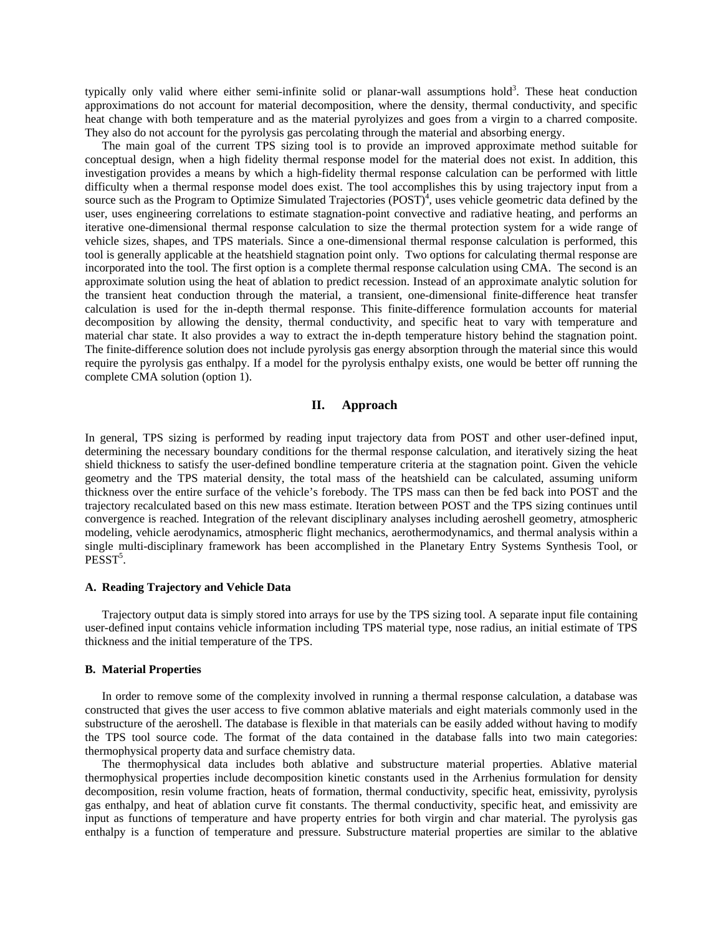typically only valid where either semi-infinite solid or planar-wall assumptions hold<sup>3</sup>. These heat conduction approximations do not account for material decomposition, where the density, thermal conductivity, and specific heat change with both temperature and as the material pyrolyizes and goes from a virgin to a charred composite. They also do not account for the pyrolysis gas percolating through the material and absorbing energy.

 The main goal of the current TPS sizing tool is to provide an improved approximate method suitable for conceptual design, when a high fidelity thermal response model for the material does not exist. In addition, this investigation provides a means by which a high-fidelity thermal response calculation can be performed with little difficulty when a thermal response model does exist. The tool accomplishes this by using trajectory input from a source such as the Program to Optimize Simulated Trajectories  $(POST)^4$ , uses vehicle geometric data defined by the user, uses engineering correlations to estimate stagnation-point convective and radiative heating, and performs an iterative one-dimensional thermal response calculation to size the thermal protection system for a wide range of vehicle sizes, shapes, and TPS materials. Since a one-dimensional thermal response calculation is performed, this tool is generally applicable at the heatshield stagnation point only. Two options for calculating thermal response are incorporated into the tool. The first option is a complete thermal response calculation using CMA. The second is an approximate solution using the heat of ablation to predict recession. Instead of an approximate analytic solution for the transient heat conduction through the material, a transient, one-dimensional finite-difference heat transfer calculation is used for the in-depth thermal response. This finite-difference formulation accounts for material decomposition by allowing the density, thermal conductivity, and specific heat to vary with temperature and material char state. It also provides a way to extract the in-depth temperature history behind the stagnation point. The finite-difference solution does not include pyrolysis gas energy absorption through the material since this would require the pyrolysis gas enthalpy. If a model for the pyrolysis enthalpy exists, one would be better off running the complete CMA solution (option 1).

# **II. Approach**

In general, TPS sizing is performed by reading input trajectory data from POST and other user-defined input, determining the necessary boundary conditions for the thermal response calculation, and iteratively sizing the heat shield thickness to satisfy the user-defined bondline temperature criteria at the stagnation point. Given the vehicle geometry and the TPS material density, the total mass of the heatshield can be calculated, assuming uniform thickness over the entire surface of the vehicle's forebody. The TPS mass can then be fed back into POST and the trajectory recalculated based on this new mass estimate. Iteration between POST and the TPS sizing continues until convergence is reached. Integration of the relevant disciplinary analyses including aeroshell geometry, atmospheric modeling, vehicle aerodynamics, atmospheric flight mechanics, aerothermodynamics, and thermal analysis within a single multi-disciplinary framework has been accomplished in the Planetary Entry Systems Synthesis Tool, or PESST<sup>5</sup>.

#### **A. Reading Trajectory and Vehicle Data**

 Trajectory output data is simply stored into arrays for use by the TPS sizing tool. A separate input file containing user-defined input contains vehicle information including TPS material type, nose radius, an initial estimate of TPS thickness and the initial temperature of the TPS.

#### **B. Material Properties**

 In order to remove some of the complexity involved in running a thermal response calculation, a database was constructed that gives the user access to five common ablative materials and eight materials commonly used in the substructure of the aeroshell. The database is flexible in that materials can be easily added without having to modify the TPS tool source code. The format of the data contained in the database falls into two main categories: thermophysical property data and surface chemistry data.

 The thermophysical data includes both ablative and substructure material properties. Ablative material thermophysical properties include decomposition kinetic constants used in the Arrhenius formulation for density decomposition, resin volume fraction, heats of formation, thermal conductivity, specific heat, emissivity, pyrolysis gas enthalpy, and heat of ablation curve fit constants. The thermal conductivity, specific heat, and emissivity are input as functions of temperature and have property entries for both virgin and char material. The pyrolysis gas enthalpy is a function of temperature and pressure. Substructure material properties are similar to the ablative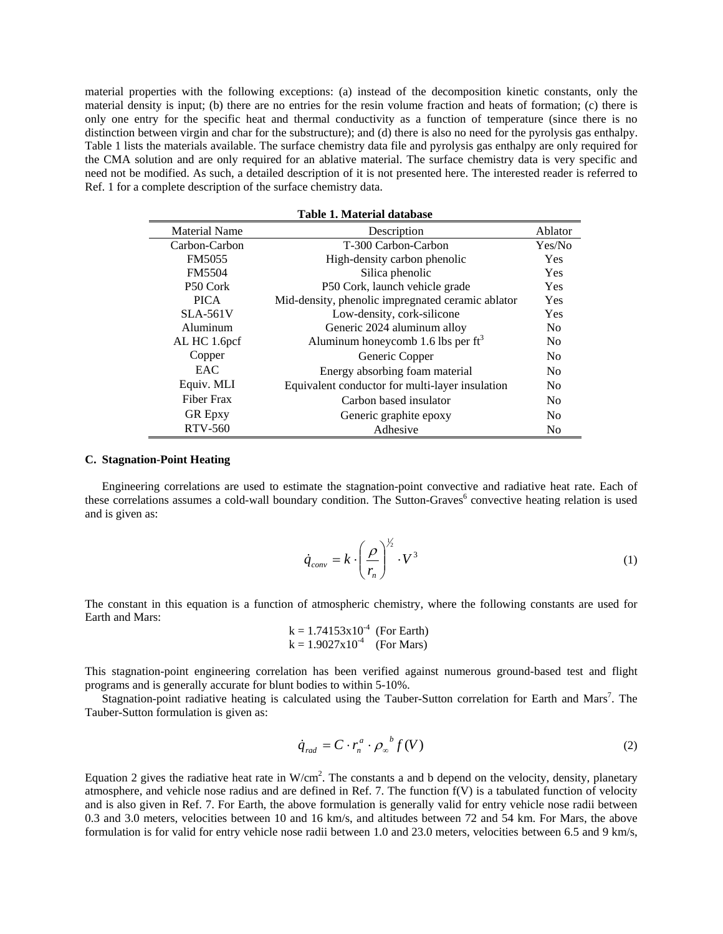material properties with the following exceptions: (a) instead of the decomposition kinetic constants, only the material density is input; (b) there are no entries for the resin volume fraction and heats of formation; (c) there is only one entry for the specific heat and thermal conductivity as a function of temperature (since there is no distinction between virgin and char for the substructure); and (d) there is also no need for the pyrolysis gas enthalpy. Table 1 lists the materials available. The surface chemistry data file and pyrolysis gas enthalpy are only required for the CMA solution and are only required for an ablative material. The surface chemistry data is very specific and need not be modified. As such, a detailed description of it is not presented here. The interested reader is referred to Ref. 1 for a complete description of the surface chemistry data.

| Table 1. Material database |                                                   |                |  |  |
|----------------------------|---------------------------------------------------|----------------|--|--|
| <b>Material Name</b>       | Description                                       | Ablator        |  |  |
| Carbon-Carbon              | T-300 Carbon-Carbon                               | Yes/No         |  |  |
| <b>FM5055</b>              | High-density carbon phenolic                      | <b>Yes</b>     |  |  |
| <b>FM5504</b>              | Silica phenolic                                   | <b>Yes</b>     |  |  |
| P <sub>50</sub> Cork       | P50 Cork, launch vehicle grade                    | <b>Yes</b>     |  |  |
| <b>PICA</b>                | Mid-density, phenolic impregnated ceramic ablator | Yes            |  |  |
| $SLA-561V$                 | Low-density, cork-silicone                        | Yes            |  |  |
| Aluminum                   | Generic 2024 aluminum alloy                       | N <sub>0</sub> |  |  |
| AL HC 1.6pcf               | Aluminum honeycomb 1.6 lbs per $ft3$              | N <sub>0</sub> |  |  |
| Copper                     | Generic Copper                                    | N <sub>0</sub> |  |  |
| EAC                        | Energy absorbing foam material                    | N <sub>0</sub> |  |  |
| Equiv. MLI                 | Equivalent conductor for multi-layer insulation   | N <sub>0</sub> |  |  |
| Fiber Frax                 | Carbon based insulator                            | N <sub>0</sub> |  |  |
| <b>GR Epxy</b>             | Generic graphite epoxy                            | N <sub>0</sub> |  |  |
| RTV-560                    | Adhesive                                          | No             |  |  |

# **C. Stagnation-Point Heating**

Engineering correlations are used to estimate the stagnation-point convective and radiative heat rate. Each of these correlations assumes a cold-wall boundary condition. The Sutton-Graves<sup>6</sup> convective heating relation is used and is given as:

$$
\dot{q}_{conv} = k \cdot \left(\frac{\rho}{r_n}\right)^{\frac{1}{2}} \cdot V^3 \tag{1}
$$

The constant in this equation is a function of atmospheric chemistry, where the following constants are used for Earth and Mars:

$$
k = 1.74153 \times 10^{-4}
$$
 (For Earth)  
 $k = 1.9027 \times 10^{-4}$  (For Mars)

This stagnation-point engineering correlation has been verified against numerous ground-based test and flight programs and is generally accurate for blunt bodies to within 5-10%.

Stagnation-point radiative heating is calculated using the Tauber-Sutton correlation for Earth and Mars<sup>7</sup>. The Tauber-Sutton formulation is given as:

$$
\dot{q}_{rad} = C \cdot r_n^a \cdot \rho_\infty^b f(V) \tag{2}
$$

Equation 2 gives the radiative heat rate in  $W/cm^2$ . The constants a and b depend on the velocity, density, planetary atmosphere, and vehicle nose radius and are defined in Ref. 7. The function f(V) is a tabulated function of velocity and is also given in Ref. 7. For Earth, the above formulation is generally valid for entry vehicle nose radii between 0.3 and 3.0 meters, velocities between 10 and 16 km/s, and altitudes between 72 and 54 km. For Mars, the above formulation is for valid for entry vehicle nose radii between 1.0 and 23.0 meters, velocities between 6.5 and 9 km/s,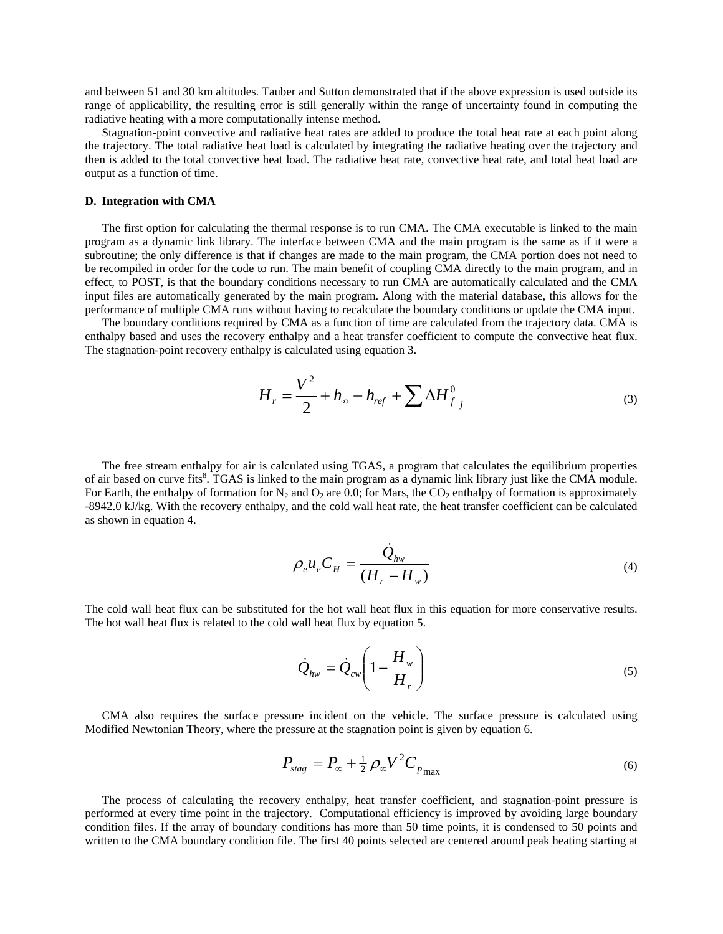and between 51 and 30 km altitudes. Tauber and Sutton demonstrated that if the above expression is used outside its range of applicability, the resulting error is still generally within the range of uncertainty found in computing the radiative heating with a more computationally intense method.

Stagnation-point convective and radiative heat rates are added to produce the total heat rate at each point along the trajectory. The total radiative heat load is calculated by integrating the radiative heating over the trajectory and then is added to the total convective heat load. The radiative heat rate, convective heat rate, and total heat load are output as a function of time.

#### **D. Integration with CMA**

The first option for calculating the thermal response is to run CMA. The CMA executable is linked to the main program as a dynamic link library. The interface between CMA and the main program is the same as if it were a subroutine; the only difference is that if changes are made to the main program, the CMA portion does not need to be recompiled in order for the code to run. The main benefit of coupling CMA directly to the main program, and in effect, to POST, is that the boundary conditions necessary to run CMA are automatically calculated and the CMA input files are automatically generated by the main program. Along with the material database, this allows for the performance of multiple CMA runs without having to recalculate the boundary conditions or update the CMA input.

The boundary conditions required by CMA as a function of time are calculated from the trajectory data. CMA is enthalpy based and uses the recovery enthalpy and a heat transfer coefficient to compute the convective heat flux. The stagnation-point recovery enthalpy is calculated using equation 3.

$$
H_r = \frac{V^2}{2} + h_{\infty} - h_{ref} + \sum \Delta H_{f_j}^0
$$
 (3)

The free stream enthalpy for air is calculated using TGAS, a program that calculates the equilibrium properties of air based on curve fits<sup>8</sup>. TGAS is linked to the main program as a dynamic link library just like the CMA module. For Earth, the enthalpy of formation for  $N_2$  and  $O_2$  are 0.0; for Mars, the  $CO_2$  enthalpy of formation is approximately -8942.0 kJ/kg. With the recovery enthalpy, and the cold wall heat rate, the heat transfer coefficient can be calculated as shown in equation 4.

$$
\rho_e u_e C_H = \frac{\dot{Q}_{hw}}{(H_r - H_w)}
$$
\n(4)

The cold wall heat flux can be substituted for the hot wall heat flux in this equation for more conservative results. The hot wall heat flux is related to the cold wall heat flux by equation 5.

$$
\dot{Q}_{hw} = \dot{Q}_{cw} \left( 1 - \frac{H_w}{H_r} \right) \tag{5}
$$

CMA also requires the surface pressure incident on the vehicle. The surface pressure is calculated using Modified Newtonian Theory, where the pressure at the stagnation point is given by equation 6.

$$
P_{\text{stag}} = P_{\infty} + \frac{1}{2} \rho_{\infty} V^2 C_{p_{\text{max}}} \tag{6}
$$

The process of calculating the recovery enthalpy, heat transfer coefficient, and stagnation-point pressure is performed at every time point in the trajectory. Computational efficiency is improved by avoiding large boundary condition files. If the array of boundary conditions has more than 50 time points, it is condensed to 50 points and written to the CMA boundary condition file. The first 40 points selected are centered around peak heating starting at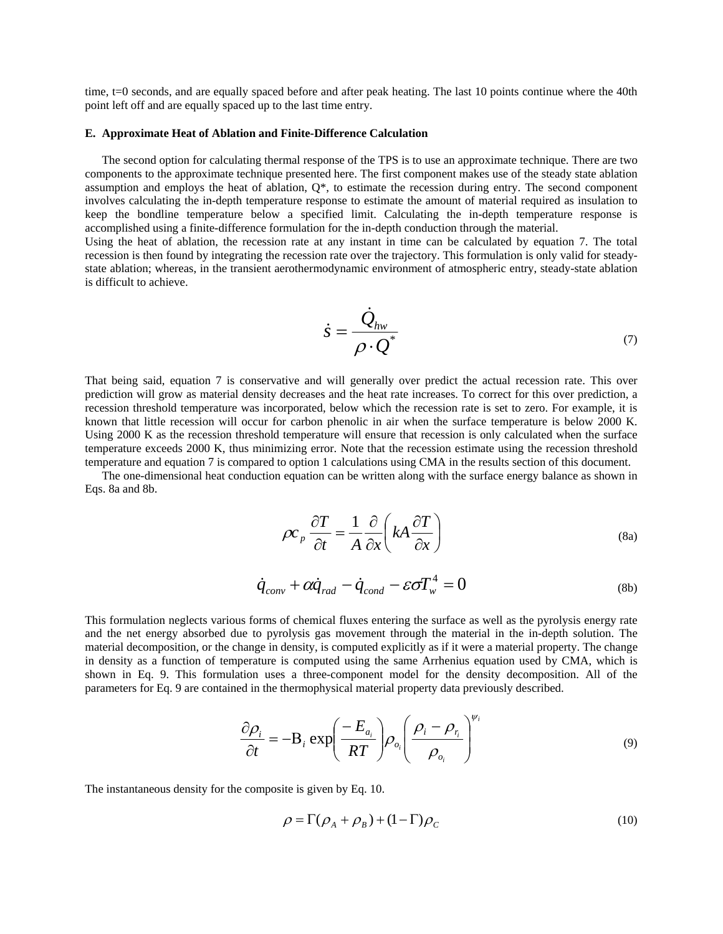time, t=0 seconds, and are equally spaced before and after peak heating. The last 10 points continue where the 40th point left off and are equally spaced up to the last time entry.

## **E. Approximate Heat of Ablation and Finite-Difference Calculation**

The second option for calculating thermal response of the TPS is to use an approximate technique. There are two components to the approximate technique presented here. The first component makes use of the steady state ablation assumption and employs the heat of ablation, Q\*, to estimate the recession during entry. The second component involves calculating the in-depth temperature response to estimate the amount of material required as insulation to keep the bondline temperature below a specified limit. Calculating the in-depth temperature response is accomplished using a finite-difference formulation for the in-depth conduction through the material.

Using the heat of ablation, the recession rate at any instant in time can be calculated by equation 7. The total recession is then found by integrating the recession rate over the trajectory. This formulation is only valid for steadystate ablation; whereas, in the transient aerothermodynamic environment of atmospheric entry, steady-state ablation is difficult to achieve.

$$
\dot{s} = \frac{\dot{Q}_{hw}}{\rho \cdot Q^*} \tag{7}
$$

That being said, equation 7 is conservative and will generally over predict the actual recession rate. This over prediction will grow as material density decreases and the heat rate increases. To correct for this over prediction, a recession threshold temperature was incorporated, below which the recession rate is set to zero. For example, it is known that little recession will occur for carbon phenolic in air when the surface temperature is below 2000 K. Using 2000 K as the recession threshold temperature will ensure that recession is only calculated when the surface temperature exceeds 2000 K, thus minimizing error. Note that the recession estimate using the recession threshold temperature and equation 7 is compared to option 1 calculations using CMA in the results section of this document.

The one-dimensional heat conduction equation can be written along with the surface energy balance as shown in Eqs. 8a and 8b.

$$
\rho c_p \frac{\partial T}{\partial t} = \frac{1}{A} \frac{\partial}{\partial x} \left( kA \frac{\partial T}{\partial x} \right)
$$
 (8a)

$$
\dot{q}_{conv} + \alpha \dot{q}_{rad} - \dot{q}_{cond} - \varepsilon \sigma T_w^4 = 0 \tag{8b}
$$

This formulation neglects various forms of chemical fluxes entering the surface as well as the pyrolysis energy rate and the net energy absorbed due to pyrolysis gas movement through the material in the in-depth solution. The material decomposition, or the change in density, is computed explicitly as if it were a material property. The change in density as a function of temperature is computed using the same Arrhenius equation used by CMA, which is shown in Eq. 9. This formulation uses a three-component model for the density decomposition. All of the parameters for Eq. 9 are contained in the thermophysical material property data previously described.

$$
\frac{\partial \rho_i}{\partial t} = -\mathbf{B}_i \exp\left(\frac{-E_{a_i}}{RT}\right) \rho_{o_i} \left(\frac{\rho_i - \rho_{r_i}}{\rho_{o_i}}\right)^{\psi_i} \tag{9}
$$

The instantaneous density for the composite is given by Eq. 10.

$$
\rho = \Gamma(\rho_A + \rho_B) + (1 - \Gamma)\rho_C \tag{10}
$$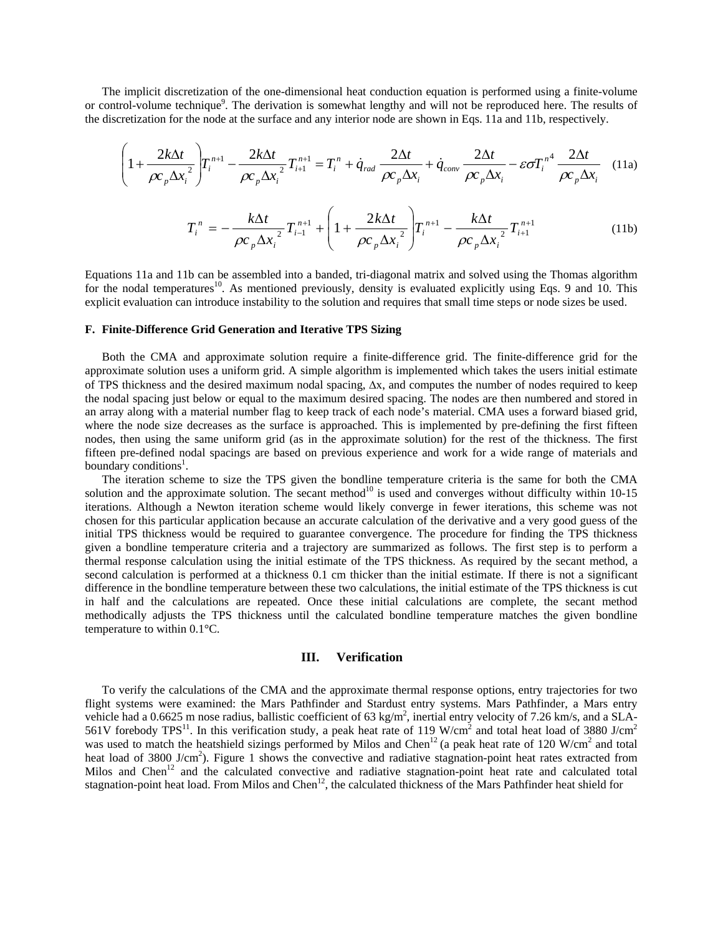The implicit discretization of the one-dimensional heat conduction equation is performed using a finite-volume or control-volume technique<sup>9</sup>. The derivation is somewhat lengthy and will not be reproduced here. The results of the discretization for the node at the surface and any interior node are shown in Eqs. 11a and 11b, respectively.

$$
\left(1+\frac{2k\Delta t}{\rho c_p\Delta x_i^2}\right)T_i^{n+1} - \frac{2k\Delta t}{\rho c_p\Delta x_i^2}T_{i+1}^{n+1} = T_i^n + \dot{q}_{rad}\frac{2\Delta t}{\rho c_p\Delta x_i} + \dot{q}_{conv}\frac{2\Delta t}{\rho c_p\Delta x_i} - \varepsilon\sigma T_i^{n^4}\frac{2\Delta t}{\rho c_p\Delta x_i} \tag{11a}
$$

$$
T_i^n = -\frac{k\Delta t}{\rho c_p \Delta x_i^2} T_{i-1}^{n+1} + \left(1 + \frac{2k\Delta t}{\rho c_p \Delta x_i^2}\right) T_i^{n+1} - \frac{k\Delta t}{\rho c_p \Delta x_i^2} T_{i+1}^{n+1}
$$
(11b)

Equations 11a and 11b can be assembled into a banded, tri-diagonal matrix and solved using the Thomas algorithm for the nodal temperatures<sup>10</sup>. As mentioned previously, density is evaluated explicitly using Eqs. 9 and 10. This explicit evaluation can introduce instability to the solution and requires that small time steps or node sizes be used.

# **F. Finite-Difference Grid Generation and Iterative TPS Sizing**

Both the CMA and approximate solution require a finite-difference grid. The finite-difference grid for the approximate solution uses a uniform grid. A simple algorithm is implemented which takes the users initial estimate of TPS thickness and the desired maximum nodal spacing, ∆x, and computes the number of nodes required to keep the nodal spacing just below or equal to the maximum desired spacing. The nodes are then numbered and stored in an array along with a material number flag to keep track of each node's material. CMA uses a forward biased grid, where the node size decreases as the surface is approached. This is implemented by pre-defining the first fifteen nodes, then using the same uniform grid (as in the approximate solution) for the rest of the thickness. The first fifteen pre-defined nodal spacings are based on previous experience and work for a wide range of materials and boundary conditions<sup>1</sup>.

The iteration scheme to size the TPS given the bondline temperature criteria is the same for both the CMA solution and the approximate solution. The secant method<sup>10</sup> is used and converges without difficulty within  $10-15$ iterations. Although a Newton iteration scheme would likely converge in fewer iterations, this scheme was not chosen for this particular application because an accurate calculation of the derivative and a very good guess of the initial TPS thickness would be required to guarantee convergence. The procedure for finding the TPS thickness given a bondline temperature criteria and a trajectory are summarized as follows. The first step is to perform a thermal response calculation using the initial estimate of the TPS thickness. As required by the secant method, a second calculation is performed at a thickness 0.1 cm thicker than the initial estimate. If there is not a significant difference in the bondline temperature between these two calculations, the initial estimate of the TPS thickness is cut in half and the calculations are repeated. Once these initial calculations are complete, the secant method methodically adjusts the TPS thickness until the calculated bondline temperature matches the given bondline temperature to within 0.1°C.

## **III. Verification**

To verify the calculations of the CMA and the approximate thermal response options, entry trajectories for two flight systems were examined: the Mars Pathfinder and Stardust entry systems. Mars Pathfinder, a Mars entry vehicle had a 0.6625 m nose radius, ballistic coefficient of 63 kg/m<sup>2</sup>, inertial entry velocity of 7.26 km/s, and a SLA-561V forebody TPS<sup>11</sup>. In this verification study, a peak heat rate of 119 W/cm<sup>2</sup> and total heat load of 3880 J/cm<sup>2</sup> was used to match the heatshield sizings performed by Milos and Chen<sup>12</sup> (a peak heat rate of 120 W/cm<sup>2</sup> and total heat load of 3800 J/cm<sup>2</sup>). Figure 1 shows the convective and radiative stagnation-point heat rates extracted from Milos and Chen<sup>12</sup> and the calculated convective and radiative stagnation-point heat rate and calculated total stagnation-point heat load. From Milos and Chen<sup>12</sup>, the calculated thickness of the Mars Pathfinder heat shield for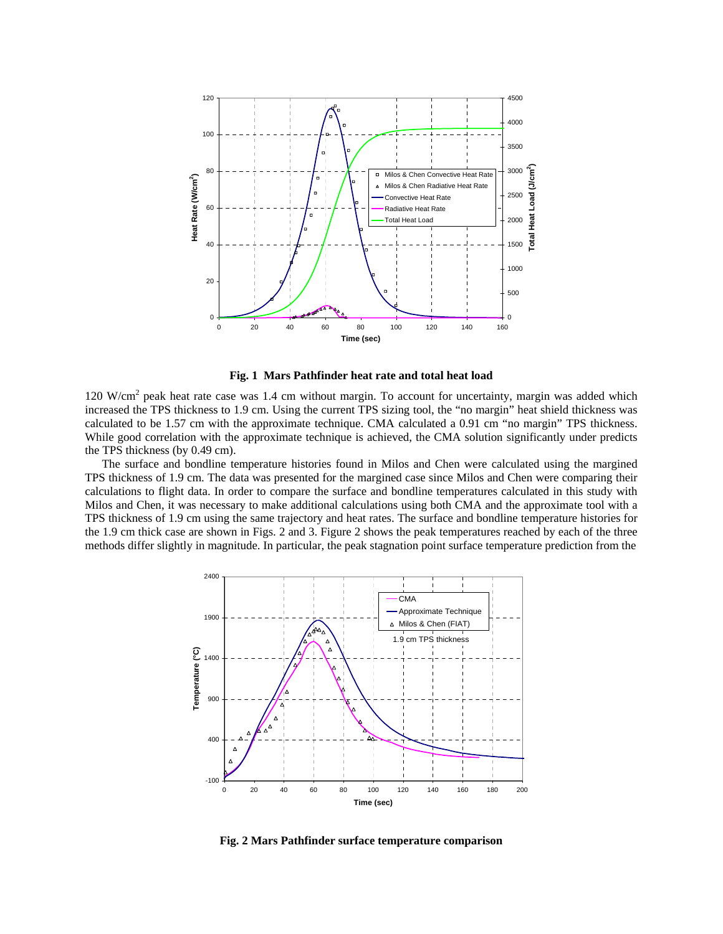

**Fig. 1 Mars Pathfinder heat rate and total heat load**

120 W/cm<sup>2</sup> peak heat rate case was 1.4 cm without margin. To account for uncertainty, margin was added which increased the TPS thickness to 1.9 cm. Using the current TPS sizing tool, the "no margin" heat shield thickness was calculated to be 1.57 cm with the approximate technique. CMA calculated a 0.91 cm "no margin" TPS thickness. While good correlation with the approximate technique is achieved, the CMA solution significantly under predicts the TPS thickness (by 0.49 cm).

The surface and bondline temperature histories found in Milos and Chen were calculated using the margined TPS thickness of 1.9 cm. The data was presented for the margined case since Milos and Chen were comparing their calculations to flight data. In order to compare the surface and bondline temperatures calculated in this study with Milos and Chen, it was necessary to make additional calculations using both CMA and the approximate tool with a TPS thickness of 1.9 cm using the same trajectory and heat rates. The surface and bondline temperature histories for the 1.9 cm thick case are shown in Figs. 2 and 3. Figure 2 shows the peak temperatures reached by each of the three methods differ slightly in magnitude. In particular, the peak stagnation point surface temperature prediction from the



**Fig. 2 Mars Pathfinder surface temperature comparison**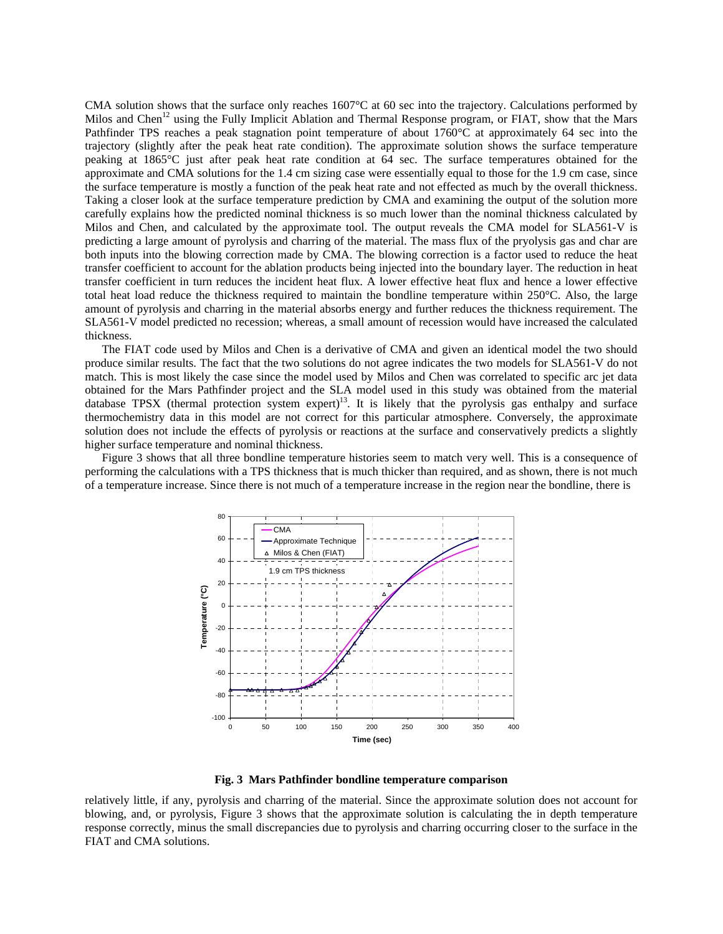CMA solution shows that the surface only reaches 1607°C at 60 sec into the trajectory. Calculations performed by Milos and Chen<sup>12</sup> using the Fully Implicit Ablation and Thermal Response program, or FIAT, show that the Mars Pathfinder TPS reaches a peak stagnation point temperature of about 1760°C at approximately 64 sec into the trajectory (slightly after the peak heat rate condition). The approximate solution shows the surface temperature peaking at 1865°C just after peak heat rate condition at 64 sec. The surface temperatures obtained for the approximate and CMA solutions for the 1.4 cm sizing case were essentially equal to those for the 1.9 cm case, since the surface temperature is mostly a function of the peak heat rate and not effected as much by the overall thickness. Taking a closer look at the surface temperature prediction by CMA and examining the output of the solution more carefully explains how the predicted nominal thickness is so much lower than the nominal thickness calculated by Milos and Chen, and calculated by the approximate tool. The output reveals the CMA model for SLA561-V is predicting a large amount of pyrolysis and charring of the material. The mass flux of the pryolysis gas and char are both inputs into the blowing correction made by CMA. The blowing correction is a factor used to reduce the heat transfer coefficient to account for the ablation products being injected into the boundary layer. The reduction in heat transfer coefficient in turn reduces the incident heat flux. A lower effective heat flux and hence a lower effective total heat load reduce the thickness required to maintain the bondline temperature within 250°C. Also, the large amount of pyrolysis and charring in the material absorbs energy and further reduces the thickness requirement. The SLA561-V model predicted no recession; whereas, a small amount of recession would have increased the calculated thickness.

The FIAT code used by Milos and Chen is a derivative of CMA and given an identical model the two should produce similar results. The fact that the two solutions do not agree indicates the two models for SLA561-V do not match. This is most likely the case since the model used by Milos and Chen was correlated to specific arc jet data obtained for the Mars Pathfinder project and the SLA model used in this study was obtained from the material database TPSX (thermal protection system expert)<sup>13</sup>. It is likely that the pyrolysis gas enthalpy and surface thermochemistry data in this model are not correct for this particular atmosphere. Conversely, the approximate solution does not include the effects of pyrolysis or reactions at the surface and conservatively predicts a slightly higher surface temperature and nominal thickness.

Figure 3 shows that all three bondline temperature histories seem to match very well. This is a consequence of performing the calculations with a TPS thickness that is much thicker than required, and as shown, there is not much of a temperature increase. Since there is not much of a temperature increase in the region near the bondline, there is



**Fig. 3 Mars Pathfinder bondline temperature comparison** 

relatively little, if any, pyrolysis and charring of the material. Since the approximate solution does not account for blowing, and, or pyrolysis, Figure 3 shows that the approximate solution is calculating the in depth temperature response correctly, minus the small discrepancies due to pyrolysis and charring occurring closer to the surface in the FIAT and CMA solutions.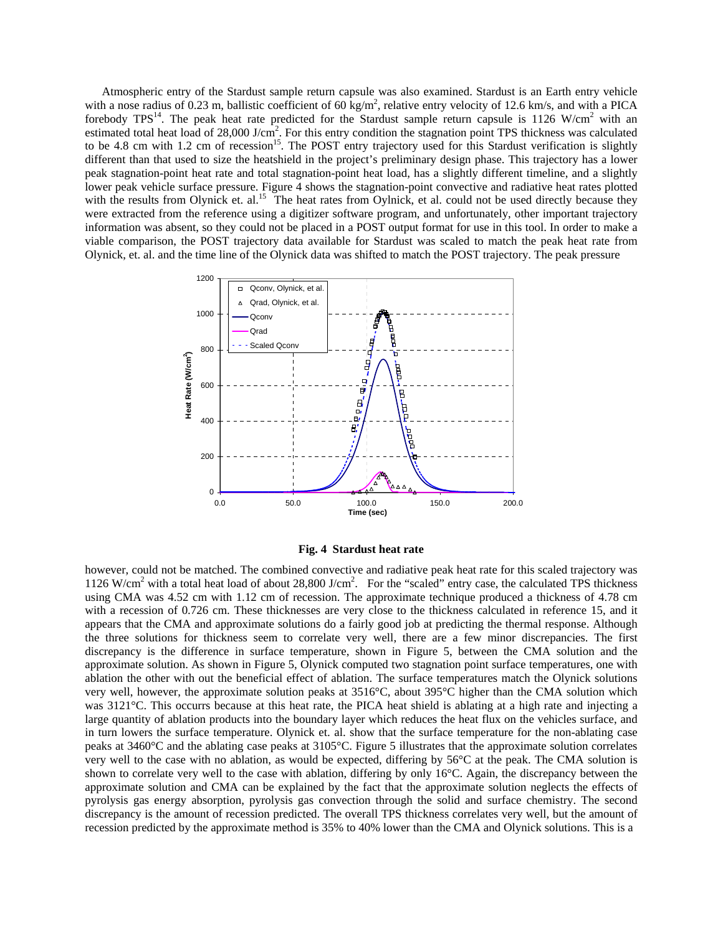Atmospheric entry of the Stardust sample return capsule was also examined. Stardust is an Earth entry vehicle with a nose radius of 0.23 m, ballistic coefficient of 60 kg/m<sup>2</sup>, relative entry velocity of 12.6 km/s, and with a PICA forebody  $TPS<sup>14</sup>$ . The peak heat rate predicted for the Stardust sample return capsule is 1126 W/cm<sup>2</sup> with an estimated total heat load of 28,000 J/cm<sup>2</sup>. For this entry condition the stagnation point TPS thickness was calculated to be 4.8 cm with 1.2 cm of recession<sup>15</sup>. The POST entry trajectory used for this Stardust verification is slightly different than that used to size the heatshield in the project's preliminary design phase. This trajectory has a lower peak stagnation-point heat rate and total stagnation-point heat load, has a slightly different timeline, and a slightly lower peak vehicle surface pressure. Figure 4 shows the stagnation-point convective and radiative heat rates plotted with the results from Olynick et. al.<sup>15</sup> The heat rates from Oylnick, et al. could not be used directly because they were extracted from the reference using a digitizer software program, and unfortunately, other important trajectory information was absent, so they could not be placed in a POST output format for use in this tool. In order to make a viable comparison, the POST trajectory data available for Stardust was scaled to match the peak heat rate from Olynick, et. al. and the time line of the Olynick data was shifted to match the POST trajectory. The peak pressure



### **Fig. 4 Stardust heat rate**

however, could not be matched. The combined convective and radiative peak heat rate for this scaled trajectory was 1126 W/cm<sup>2</sup> with a total heat load of about 28,800 J/cm<sup>2</sup>. For the "scaled" entry case, the calculated TPS thickness using CMA was 4.52 cm with 1.12 cm of recession. The approximate technique produced a thickness of 4.78 cm with a recession of 0.726 cm. These thicknesses are very close to the thickness calculated in reference 15, and it appears that the CMA and approximate solutions do a fairly good job at predicting the thermal response. Although the three solutions for thickness seem to correlate very well, there are a few minor discrepancies. The first discrepancy is the difference in surface temperature, shown in Figure 5, between the CMA solution and the approximate solution. As shown in Figure 5, Olynick computed two stagnation point surface temperatures, one with ablation the other with out the beneficial effect of ablation. The surface temperatures match the Olynick solutions very well, however, the approximate solution peaks at 3516°C, about 395°C higher than the CMA solution which was 3121°C. This occurrs because at this heat rate, the PICA heat shield is ablating at a high rate and injecting a large quantity of ablation products into the boundary layer which reduces the heat flux on the vehicles surface, and in turn lowers the surface temperature. Olynick et. al. show that the surface temperature for the non-ablating case peaks at 3460°C and the ablating case peaks at 3105°C. Figure 5 illustrates that the approximate solution correlates very well to the case with no ablation, as would be expected, differing by 56°C at the peak. The CMA solution is shown to correlate very well to the case with ablation, differing by only 16°C. Again, the discrepancy between the approximate solution and CMA can be explained by the fact that the approximate solution neglects the effects of pyrolysis gas energy absorption, pyrolysis gas convection through the solid and surface chemistry. The second discrepancy is the amount of recession predicted. The overall TPS thickness correlates very well, but the amount of recession predicted by the approximate method is 35% to 40% lower than the CMA and Olynick solutions. This is a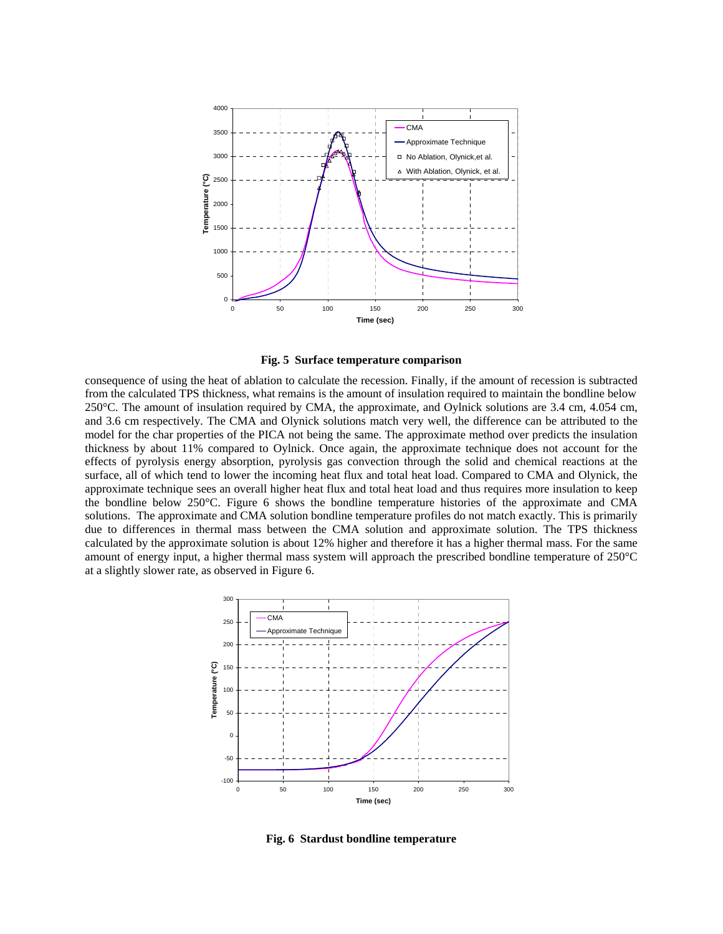

**Fig. 5 Surface temperature comparison** 

consequence of using the heat of ablation to calculate the recession. Finally, if the amount of recession is subtracted from the calculated TPS thickness, what remains is the amount of insulation required to maintain the bondline below 250°C. The amount of insulation required by CMA, the approximate, and Oylnick solutions are 3.4 cm, 4.054 cm, and 3.6 cm respectively. The CMA and Olynick solutions match very well, the difference can be attributed to the model for the char properties of the PICA not being the same. The approximate method over predicts the insulation thickness by about 11% compared to Oylnick. Once again, the approximate technique does not account for the effects of pyrolysis energy absorption, pyrolysis gas convection through the solid and chemical reactions at the surface, all of which tend to lower the incoming heat flux and total heat load. Compared to CMA and Olynick, the approximate technique sees an overall higher heat flux and total heat load and thus requires more insulation to keep the bondline below 250°C. Figure 6 shows the bondline temperature histories of the approximate and CMA solutions. The approximate and CMA solution bondline temperature profiles do not match exactly. This is primarily due to differences in thermal mass between the CMA solution and approximate solution. The TPS thickness calculated by the approximate solution is about 12% higher and therefore it has a higher thermal mass. For the same amount of energy input, a higher thermal mass system will approach the prescribed bondline temperature of 250°C at a slightly slower rate, as observed in Figure 6.



**Fig. 6 Stardust bondline temperature**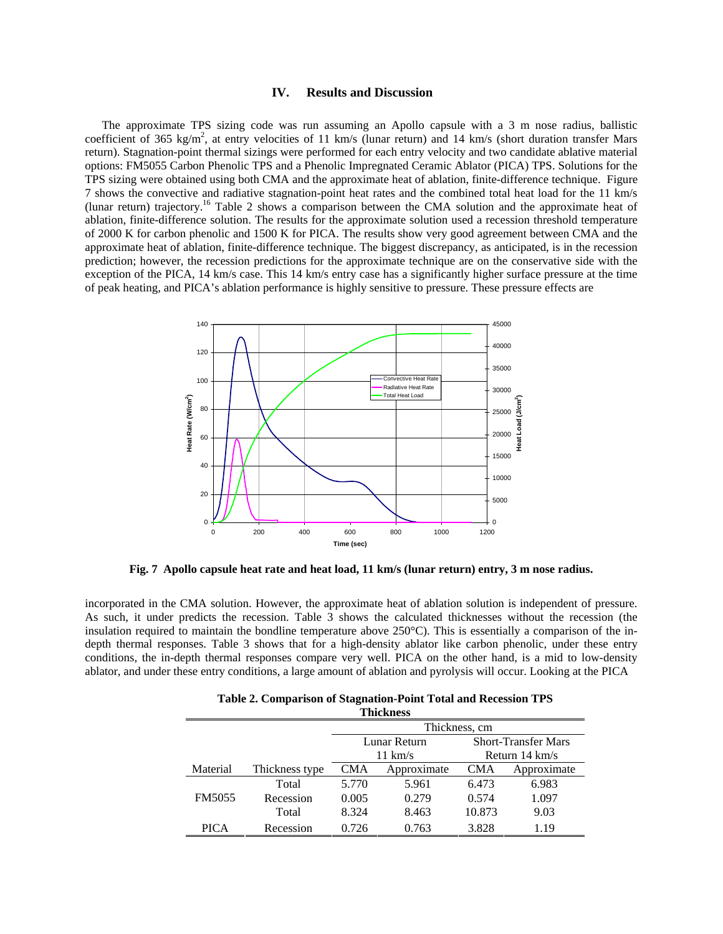## **IV. Results and Discussion**

The approximate TPS sizing code was run assuming an Apollo capsule with a 3 m nose radius, ballistic coefficient of 365 kg/m<sup>2</sup>, at entry velocities of 11 km/s (lunar return) and 14 km/s (short duration transfer Mars return). Stagnation-point thermal sizings were performed for each entry velocity and two candidate ablative material options: FM5055 Carbon Phenolic TPS and a Phenolic Impregnated Ceramic Ablator (PICA) TPS. Solutions for the TPS sizing were obtained using both CMA and the approximate heat of ablation, finite-difference technique. Figure 7 shows the convective and radiative stagnation-point heat rates and the combined total heat load for the 11 km/s (lunar return) trajectory.<sup>16</sup> Table 2 shows a comparison between the CMA solution and the approximate heat of ablation, finite-difference solution. The results for the approximate solution used a recession threshold temperature of 2000 K for carbon phenolic and 1500 K for PICA. The results show very good agreement between CMA and the approximate heat of ablation, finite-difference technique. The biggest discrepancy, as anticipated, is in the recession prediction; however, the recession predictions for the approximate technique are on the conservative side with the exception of the PICA, 14 km/s case. This 14 km/s entry case has a significantly higher surface pressure at the time of peak heating, and PICA's ablation performance is highly sensitive to pressure. These pressure effects are



**Fig. 7 Apollo capsule heat rate and heat load, 11 km/s (lunar return) entry, 3 m nose radius.** 

incorporated in the CMA solution. However, the approximate heat of ablation solution is independent of pressure. As such, it under predicts the recession. Table 3 shows the calculated thicknesses without the recession (the insulation required to maintain the bondline temperature above 250°C). This is essentially a comparison of the indepth thermal responses. Table 3 shows that for a high-density ablator like carbon phenolic, under these entry conditions, the in-depth thermal responses compare very well. PICA on the other hand, is a mid to low-density ablator, and under these entry conditions, a large amount of ablation and pyrolysis will occur. Looking at the PICA

| Table 2. Comparison of Bughanon-Tome Toldi and Accession TTD<br><b>Thickness</b> |                |               |                   |                            |             |  |
|----------------------------------------------------------------------------------|----------------|---------------|-------------------|----------------------------|-------------|--|
|                                                                                  |                | Thickness, cm |                   |                            |             |  |
|                                                                                  |                | Lunar Return  |                   | <b>Short-Transfer Mars</b> |             |  |
|                                                                                  |                |               | $11 \text{ km/s}$ | Return $14 \text{ km/s}$   |             |  |
| Material                                                                         | Thickness type | CMA           | Approximate       | <b>CMA</b>                 | Approximate |  |
|                                                                                  | Total          | 5.770         | 5.961             | 6.473                      | 6.983       |  |
| <b>FM5055</b>                                                                    | Recession      | 0.005         | 0.279             | 0.574                      | 1.097       |  |
|                                                                                  | Total          | 8.324         | 8.463             | 10.873                     | 9.03        |  |
| <b>PICA</b>                                                                      | Recession      | 0.726         | 0.763             | 3.828                      | 1.19        |  |

|  | Table 2. Comparison of Stagnation-Point Total and Recession TPS |
|--|-----------------------------------------------------------------|
|  |                                                                 |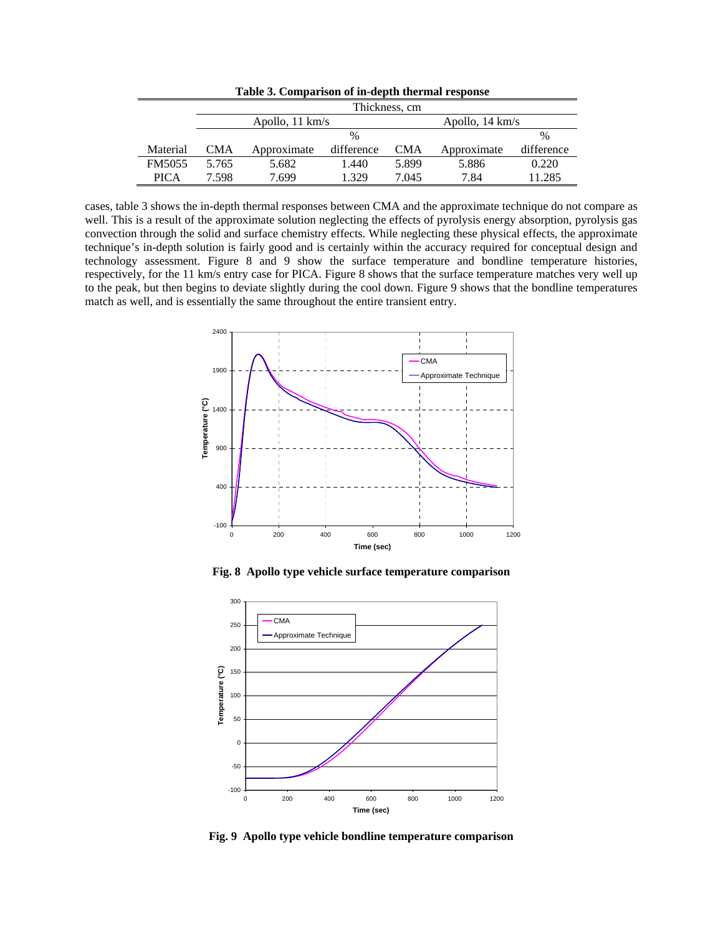| Table 3. Comparison of in-depth thermal response |                           |             |            |                           |             |            |
|--------------------------------------------------|---------------------------|-------------|------------|---------------------------|-------------|------------|
|                                                  | Thickness, cm             |             |            |                           |             |            |
|                                                  | Apollo, $11 \text{ km/s}$ |             |            | Apollo, $14 \text{ km/s}$ |             |            |
|                                                  | $\frac{0}{0}$             |             |            |                           |             | $\%$       |
| Material                                         | CMA                       | Approximate | difference | <b>CMA</b>                | Approximate | difference |
| <b>FM5055</b>                                    | 5.765                     | 5.682       | 1.440      | 5.899                     | 5.886       | 0.220      |
| <b>PICA</b>                                      | 7.598                     | 7.699       | .329       | 7.045                     | 7.84        | 11.285     |

cases, table 3 shows the in-depth thermal responses between CMA and the approximate technique do not compare as well. This is a result of the approximate solution neglecting the effects of pyrolysis energy absorption, pyrolysis gas convection through the solid and surface chemistry effects. While neglecting these physical effects, the approximate technique's in-depth solution is fairly good and is certainly within the accuracy required for conceptual design and technology assessment. Figure 8 and 9 show the surface temperature and bondline temperature histories, respectively, for the 11 km/s entry case for PICA. Figure 8 shows that the surface temperature matches very well up to the peak, but then begins to deviate slightly during the cool down. Figure 9 shows that the bondline temperatures match as well, and is essentially the same throughout the entire transient entry.



**Fig. 8 Apollo type vehicle surface temperature comparison** 



**Fig. 9 Apollo type vehicle bondline temperature comparison**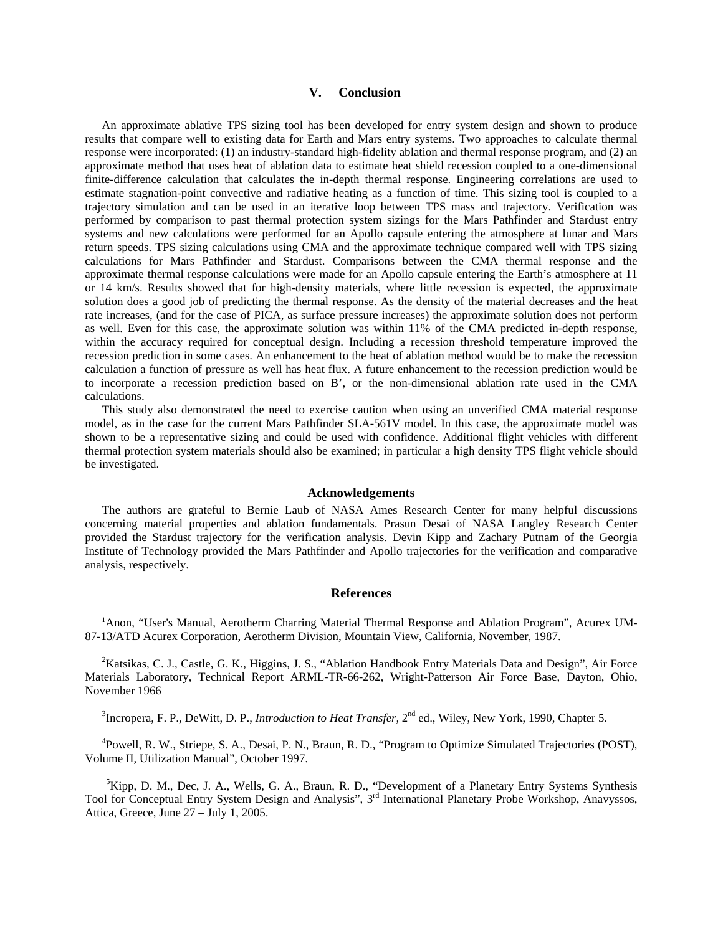# **V. Conclusion**

 An approximate ablative TPS sizing tool has been developed for entry system design and shown to produce results that compare well to existing data for Earth and Mars entry systems. Two approaches to calculate thermal response were incorporated: (1) an industry-standard high-fidelity ablation and thermal response program, and (2) an approximate method that uses heat of ablation data to estimate heat shield recession coupled to a one-dimensional finite-difference calculation that calculates the in-depth thermal response. Engineering correlations are used to estimate stagnation-point convective and radiative heating as a function of time. This sizing tool is coupled to a trajectory simulation and can be used in an iterative loop between TPS mass and trajectory. Verification was performed by comparison to past thermal protection system sizings for the Mars Pathfinder and Stardust entry systems and new calculations were performed for an Apollo capsule entering the atmosphere at lunar and Mars return speeds. TPS sizing calculations using CMA and the approximate technique compared well with TPS sizing calculations for Mars Pathfinder and Stardust. Comparisons between the CMA thermal response and the approximate thermal response calculations were made for an Apollo capsule entering the Earth's atmosphere at 11 or 14 km/s. Results showed that for high-density materials, where little recession is expected, the approximate solution does a good job of predicting the thermal response. As the density of the material decreases and the heat rate increases, (and for the case of PICA, as surface pressure increases) the approximate solution does not perform as well. Even for this case, the approximate solution was within 11% of the CMA predicted in-depth response, within the accuracy required for conceptual design. Including a recession threshold temperature improved the recession prediction in some cases. An enhancement to the heat of ablation method would be to make the recession calculation a function of pressure as well has heat flux. A future enhancement to the recession prediction would be to incorporate a recession prediction based on B', or the non-dimensional ablation rate used in the CMA calculations.

 This study also demonstrated the need to exercise caution when using an unverified CMA material response model, as in the case for the current Mars Pathfinder SLA-561V model. In this case, the approximate model was shown to be a representative sizing and could be used with confidence. Additional flight vehicles with different thermal protection system materials should also be examined; in particular a high density TPS flight vehicle should be investigated.

## **Acknowledgements**

 The authors are grateful to Bernie Laub of NASA Ames Research Center for many helpful discussions concerning material properties and ablation fundamentals. Prasun Desai of NASA Langley Research Center provided the Stardust trajectory for the verification analysis. Devin Kipp and Zachary Putnam of the Georgia Institute of Technology provided the Mars Pathfinder and Apollo trajectories for the verification and comparative analysis, respectively.

#### **References**

<sup>1</sup> Anon, "User's Manual, Aerotherm Charring Material Thermal Response and Ablation Program", Acurex UM-87-13/ATD Acurex Corporation, Aerotherm Division, Mountain View, California, November, 1987.

<sup>2</sup>Katsikas, C. J., Castle, G. K., Higgins, J. S., "Ablation Handbook Entry Materials Data and Design", Air Force Materials Laboratory, Technical Report ARML-TR-66-262, Wright-Patterson Air Force Base, Dayton, Ohio, November 1966

<sup>3</sup>Incropera, F. P., DeWitt, D. P., *Introduction to Heat Transfer*, 2<sup>nd</sup> ed., Wiley, New York, 1990, Chapter 5.

<sup>4</sup> Powell, R. W., Striepe, S. A., Desai, P. N., Braun, R. D., "Program to Optimize Simulated Trajectories (POST), Volume II, Utilization Manual", October 1997.

 ${}^5$ Kipp, D. M., Dec, J. A., Wells, G. A., Braun, R. D., "Development of a Planetary Entry Systems Synthesis Tool for Conceptual Entry System Design and Analysis", 3<sup>rd</sup> International Planetary Probe Workshop, Anavyssos, Attica, Greece, June 27 – July 1, 2005.